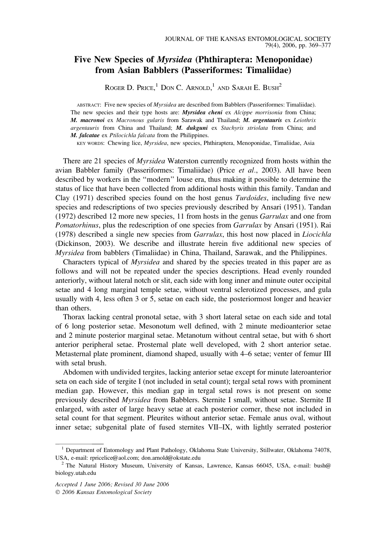# Five New Species of Myrsidea (Phthiraptera: Menoponidae) from Asian Babblers (Passeriformes: Timaliidae)

ROGER D. PRICE,  $^1$  Don C. Arnold,  $^1$  and Sarah E. Bush<sup>2</sup>

ABSTRACT: Five new species of Myrsidea are described from Babblers (Passeriformes: Timaliidae). The new species and their type hosts are: Myrsidea cheni ex Alcippe morrisonia from China; M. macronoi ex Macronous gularis from Sarawak and Thailand; M. argentauris ex Leiothrix argentauris from China and Thailand; M. dukguni ex Stachyris striolata from China; and M. falcatae ex Ptilocichla falcata from the Philippines.

KEY WORDS: Chewing lice, Myrsidea, new species, Phthiraptera, Menoponidae, Timaliidae, Asia

There are 21 species of *Myrsidea* Waterston currently recognized from hosts within the avian Babbler family (Passeriformes: Timaliidae) (Price et al., 2003). All have been described by workers in the ''modern'' louse era, thus making it possible to determine the status of lice that have been collected from additional hosts within this family. Tandan and Clay (1971) described species found on the host genus Turdoides, including five new species and redescriptions of two species previously described by Ansari (1951). Tandan (1972) described 12 more new species, 11 from hosts in the genus Garrulax and one from Pomatorhinus, plus the redescription of one species from Garrulax by Ansari (1951). Rai (1978) described a single new species from Garrulax, this host now placed in Liocichla (Dickinson, 2003). We describe and illustrate herein five additional new species of Myrsidea from babblers (Timaliidae) in China, Thailand, Sarawak, and the Philippines.

Characters typical of Myrsidea and shared by the species treated in this paper are as follows and will not be repeated under the species descriptions. Head evenly rounded anteriorly, without lateral notch or slit, each side with long inner and minute outer occipital setae and 4 long marginal temple setae, without ventral sclerotized processes, and gula usually with 4, less often 3 or 5, setae on each side, the posteriormost longer and heavier than others.

Thorax lacking central pronotal setae, with 3 short lateral setae on each side and total of 6 long posterior setae. Mesonotum well defined, with 2 minute medioanterior setae and 2 minute posterior marginal setae. Metanotum without central setae, but with 6 short anterior peripheral setae. Prosternal plate well developed, with 2 short anterior setae. Metasternal plate prominent, diamond shaped, usually with 4–6 setae; venter of femur III with setal brush.

Abdomen with undivided tergites, lacking anterior setae except for minute lateroanterior seta on each side of tergite I (not included in setal count); tergal setal rows with prominent median gap. However, this median gap in tergal setal rows is not present on some previously described Myrsidea from Babblers. Sternite I small, without setae. Sternite II enlarged, with aster of large heavy setae at each posterior corner, these not included in setal count for that segment. Pleurites without anterior setae. Female anus oval, without inner setae; subgenital plate of fused sternites VII–IX, with lightly serrated posterior

<sup>1</sup> Department of Entomology and Plant Pathology, Oklahoma State University, Stillwater, Oklahoma 74078, USA, e-mail: rpricelice@aol.com; don.arnold@okstate.edu <sup>2</sup> The Natural History Museum, University of Kansas, Lawrence, Kansas 66045, USA, e-mail: bush@

biology.utah.edu

Accepted 1 June 2006; Revised 30 June 2006 2006 Kansas Entomological Society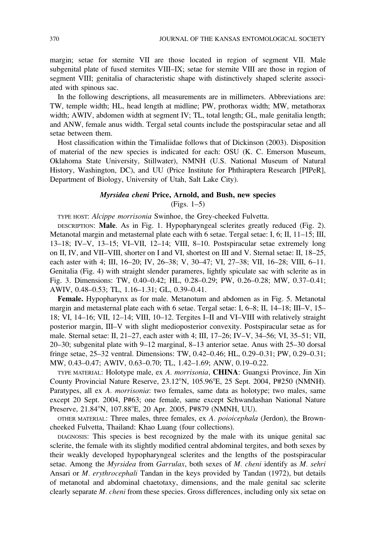margin; setae for sternite VII are those located in region of segment VII. Male subgenital plate of fused sternites VIII–IX; setae for sternite VIII are those in region of segment VIII; genitalia of characteristic shape with distinctively shaped sclerite associated with spinous sac.

In the following descriptions, all measurements are in millimeters. Abbreviations are: TW, temple width; HL, head length at midline; PW, prothorax width; MW, metathorax width; AWIV, abdomen width at segment IV; TL, total length; GL, male genitalia length; and ANW, female anus width. Tergal setal counts include the postspiracular setae and all setae between them.

Host classification within the Timaliidae follows that of Dickinson (2003). Disposition of material of the new species is indicated for each: OSU (K. C. Emerson Museum, Oklahoma State University, Stillwater), NMNH (U.S. National Museum of Natural History, Washington, DC), and UU (Price Institute for Phthiraptera Research [PIPeR], Department of Biology, University of Utah, Salt Lake City).

## Myrsidea cheni Price, Arnold, and Bush, new species

(Figs. 1–5)

TYPE HOST: Alcippe morrisonia Swinhoe, the Grey-cheeked Fulvetta.

DESCRIPTION: Male. As in Fig. 1. Hypopharyngeal sclerites greatly reduced (Fig. 2). Metanotal margin and metasternal plate each with 6 setae. Tergal setae: I, 6; II, 11–15; III, 13–18; IV–V, 13–15; VI–VII, 12–14; VIII, 8–10. Postspiracular setae extremely long on II, IV, and VII–VIII, shorter on I and VI, shortest on III and V. Sternal setae: II, 18–25, each aster with 4; III, 16-20; IV, 26-38; V, 30-47; VI, 27-38; VII, 16-28; VIII, 6-11. Genitalia (Fig. 4) with straight slender parameres, lightly spiculate sac with sclerite as in Fig. 3. Dimensions: TW, 0.40–0.42; HL, 0.28–0.29; PW, 0.26–0.28; MW, 0.37–0.41; AWIV, 0.48–0.53; TL, 1.16–1.31; GL, 0.39–0.41.

Female. Hypopharynx as for male. Metanotum and abdomen as in Fig. 5. Metanotal margin and metasternal plate each with 6 setae. Tergal setae: I, 6–8; II, 14–18; III–V, 15– 18; VI, 14–16; VII, 12–14; VIII, 10–12. Tergites I–II and VI–VIII with relatively straight posterior margin, III–V with slight medioposterior convexity. Postspiracular setae as for male. Sternal setae: II, 21–27, each aster with 4; III, 17–26; IV–V, 34–56; VI, 35–51; VII, 20–30; subgenital plate with 9–12 marginal, 8–13 anterior setae. Anus with 25–30 dorsal fringe setae, 25–32 ventral. Dimensions: TW, 0.42–0.46; HL, 0.29–0.31; PW, 0.29–0.31; MW, 0.43–0.47; AWIV, 0.63–0.70; TL, 1.42–1.69; ANW, 0.19–0.22.

TYPE MATERIAL: Holotype male, ex A. morrisonia, CHINA: Guangxi Province, Jin Xin County Provincial Nature Reserve, 23.12°N, 105.96°E, 25 Sept. 2004, P#250 (NMNH). Paratypes, all ex A. morrisonia: two females, same data as holotype; two males, same except 20 Sept. 2004, P#63; one female, same except Schwandashan National Nature Preserve, 21.84°N, 107.88°E, 20 Apr. 2005, P#879 (NMNH, UU).

OTHER MATERIAL: Three males, three females, ex A. poioicephala (Jerdon), the Browncheeked Fulvetta, Thailand: Khao Luang (four collections).

DIAGNOSIS: This species is best recognized by the male with its unique genital sac sclerite, the female with its slightly modified central abdominal tergites, and both sexes by their weakly developed hypopharyngeal sclerites and the lengths of the postspiracular setae. Among the Myrsidea from Garrulax, both sexes of M. cheni identify as M. sehri Ansari or M. erythrocephali Tandan in the keys provided by Tandan (1972), but details of metanotal and abdominal chaetotaxy, dimensions, and the male genital sac sclerite clearly separate M. cheni from these species. Gross differences, including only six setae on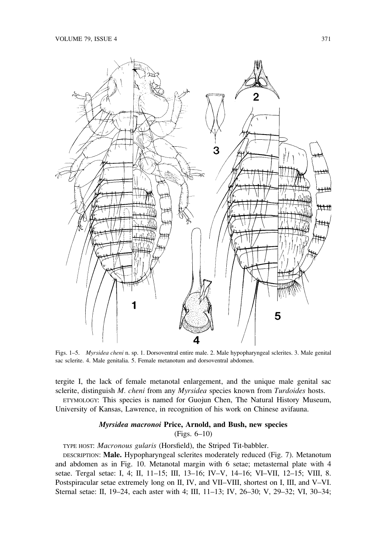

Figs. 1–5. Myrsidea cheni n. sp. 1. Dorsoventral entire male. 2. Male hypopharyngeal sclerites. 3. Male genital sac sclerite. 4. Male genitalia. 5. Female metanotum and dorsoventral abdomen.

tergite I, the lack of female metanotal enlargement, and the unique male genital sac sclerite, distinguish M. cheni from any Myrsidea species known from Turdoides hosts.

ETYMOLOGY: This species is named for Guojun Chen, The Natural History Museum, University of Kansas, Lawrence, in recognition of his work on Chinese avifauna.

## Myrsidea macronoi Price, Arnold, and Bush, new species (Figs. 6–10)

TYPE HOST: Macronous gularis (Horsfield), the Striped Tit-babbler.

DESCRIPTION: Male. Hypopharyngeal sclerites moderately reduced (Fig. 7). Metanotum and abdomen as in Fig. 10. Metanotal margin with 6 setae; metasternal plate with 4 setae. Tergal setae: I, 4; II, 11–15; III, 13–16; IV–V, 14–16; VI–VII, 12–15; VIII, 8. Postspiracular setae extremely long on II, IV, and VII–VIII, shortest on I, III, and V–VI. Sternal setae: II, 19–24, each aster with 4; III, 11–13; IV, 26–30; V, 29–32; VI, 30–34;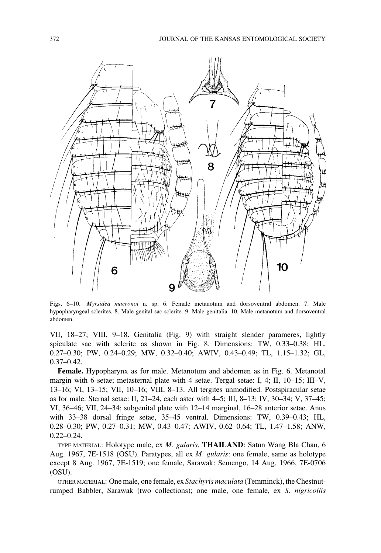

Figs. 6–10. Myrsidea macronoi n. sp. 6. Female metanotum and dorsoventral abdomen. 7. Male hypopharyngeal sclerites. 8. Male genital sac sclerite. 9. Male genitalia. 10. Male metanotum and dorsoventral abdomen.

VII, 18–27; VIII, 9–18. Genitalia (Fig. 9) with straight slender parameres, lightly spiculate sac with sclerite as shown in Fig. 8. Dimensions: TW, 0.33–0.38; HL, 0.27–0.30; PW, 0.24–0.29; MW, 0.32–0.40; AWIV, 0.43–0.49; TL, 1.15–1.32; GL, 0.37–0.42.

Female. Hypopharynx as for male. Metanotum and abdomen as in Fig. 6. Metanotal margin with 6 setae; metasternal plate with 4 setae. Tergal setae: I, 4; II, 10–15; III–V, 13–16; VI, 13–15; VII, 10–16; VIII, 8–13. All tergites unmodified. Postspiracular setae as for male. Sternal setae: II, 21–24, each aster with 4–5; III, 8–13; IV, 30–34; V, 37–45; VI, 36–46; VII, 24–34; subgenital plate with 12–14 marginal, 16–28 anterior setae. Anus with 33–38 dorsal fringe setae, 35–45 ventral. Dimensions: TW, 0.39–0.43; HL, 0.28–0.30; PW, 0.27–0.31; MW, 0.43–0.47; AWIV, 0.62–0.64; TL, 1.47–1.58; ANW, 0.22–0.24.

TYPE MATERIAL: Holotype male, ex M. gularis, THAILAND: Satun Wang Bla Chan, 6 Aug. 1967, 7E-1518 (OSU). Paratypes, all ex M. gularis: one female, same as holotype except 8 Aug. 1967, 7E-1519; one female, Sarawak: Semengo, 14 Aug. 1966, 7E-0706 (OSU).

OTHER MATERIAL: One male, one female, ex Stachyris maculata (Temminck), the Chestnutrumped Babbler, Sarawak (two collections); one male, one female, ex S. nigricollis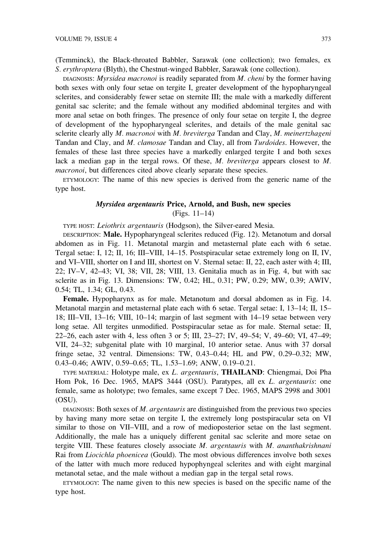(Temminck), the Black-throated Babbler, Sarawak (one collection); two females, ex S. erythroptera (Blyth), the Chestnut-winged Babbler, Sarawak (one collection).

DIAGNOSIS: Myrsidea macronoi is readily separated from M. cheni by the former having both sexes with only four setae on tergite I, greater development of the hypopharyngeal sclerites, and considerably fewer setae on sternite III; the male with a markedly different genital sac sclerite; and the female without any modified abdominal tergites and with more anal setae on both fringes. The presence of only four setae on tergite I, the degree of development of the hypopharyngeal sclerites, and details of the male genital sac sclerite clearly ally M. macronoi with M. breviterga Tandan and Clay, M. meinertzhageni Tandan and Clay, and M. clamosae Tandan and Clay, all from Turdoides. However, the females of these last three species have a markedly enlarged tergite I and both sexes lack a median gap in the tergal rows. Of these, M. breviterga appears closest to M. macronoi, but differences cited above clearly separate these species.

ETYMOLOGY: The name of this new species is derived from the generic name of the type host.

### Myrsidea argentauris Price, Arnold, and Bush, new species (Figs. 11–14)

TYPE HOST: Leiothrix argentauris (Hodgson), the Silver-eared Mesia.

DESCRIPTION: Male. Hypopharyngeal sclerites reduced (Fig. 12). Metanotum and dorsal abdomen as in Fig. 11. Metanotal margin and metasternal plate each with 6 setae. Tergal setae: I, 12; II, 16; III–VIII, 14–15. Postspiracular setae extremely long on II, IV, and VI–VIII, shorter on I and III, shortest on V. Sternal setae: II, 22, each aster with 4; III, 22; IV–V, 42–43; VI, 38; VII, 28; VIII, 13. Genitalia much as in Fig. 4, but with sac sclerite as in Fig. 13. Dimensions: TW, 0.42; HL, 0.31; PW, 0.29; MW, 0.39; AWIV, 0.54; TL, 1.34; GL, 0.43.

Female. Hypopharynx as for male. Metanotum and dorsal abdomen as in Fig. 14. Metanotal margin and metasternal plate each with 6 setae. Tergal setae: I, 13–14; II, 15– 18; III–VII, 13–16; VIII, 10–14; margin of last segment with 14–19 setae between very long setae. All tergites unmodified. Postspiracular setae as for male. Sternal setae: II, 22–26, each aster with 4, less often 3 or 5; III, 23–27; IV, 49–54; V, 49–60; VI, 47–49; VII, 24–32; subgenital plate with 10 marginal, 10 anterior setae. Anus with 37 dorsal fringe setae, 32 ventral. Dimensions: TW, 0.43–0.44; HL and PW, 0.29–0.32; MW, 0.43–0.46; AWIV, 0.59–0.65; TL, 1.53–1.69; ANW, 0.19–0.21.

TYPE MATERIAL: Holotype male, ex L. argentauris, THAILAND: Chiengmai, Doi Pha Hom Pok, 16 Dec. 1965, MAPS 3444 (OSU). Paratypes, all ex *L. argentauris*: one female, same as holotype; two females, same except 7 Dec. 1965, MAPS 2998 and 3001 (OSU).

DIAGNOSIS: Both sexes of  $M$ . argentauris are distinguished from the previous two species by having many more setae on tergite I, the extremely long postspiracular seta on VI similar to those on VII–VIII, and a row of medioposterior setae on the last segment. Additionally, the male has a uniquely different genital sac sclerite and more setae on tergite VIII. These features closely associate  $M$ . argentauris with  $M$ . ananthakrishnani Rai from Liocichla phoenicea (Gould). The most obvious differences involve both sexes of the latter with much more reduced hypophyngeal sclerites and with eight marginal metanotal setae, and the male without a median gap in the tergal setal rows.

ETYMOLOGY: The name given to this new species is based on the specific name of the type host.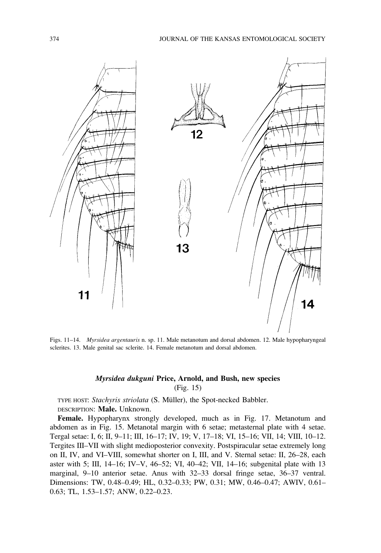

Figs. 11–14. Myrsidea argentauris n. sp. 11. Male metanotum and dorsal abdomen. 12. Male hypopharyngeal sclerites. 13. Male genital sac sclerite. 14. Female metanotum and dorsal abdomen.

# Myrsidea dukguni Price, Arnold, and Bush, new species (Fig. 15)

TYPE HOST: Stachyris striolata (S. Müller), the Spot-necked Babbler. DESCRIPTION: Male. Unknown.

Female. Hypopharynx strongly developed, much as in Fig. 17. Metanotum and abdomen as in Fig. 15. Metanotal margin with 6 setae; metasternal plate with 4 setae. Tergal setae: I, 6; II, 9–11; III, 16–17; IV, 19; V, 17–18; VI, 15–16; VII, 14; VIII, 10–12. Tergites III–VII with slight medioposterior convexity. Postspiracular setae extremely long on II, IV, and VI–VIII, somewhat shorter on I, III, and V. Sternal setae: II, 26–28, each aster with 5; III, 14–16; IV–V, 46–52; VI, 40–42; VII, 14–16; subgenital plate with 13 marginal, 9–10 anterior setae. Anus with 32–33 dorsal fringe setae, 36–37 ventral. Dimensions: TW, 0.48–0.49; HL, 0.32–0.33; PW, 0.31; MW, 0.46–0.47; AWIV, 0.61– 0.63; TL, 1.53–1.57; ANW, 0.22–0.23.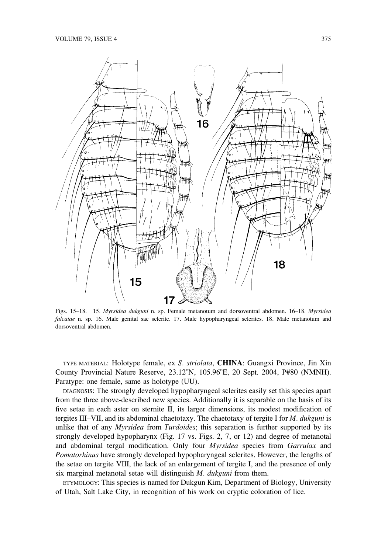

Figs. 15–18. 15. Myrsidea dukguni n. sp. Female metanotum and dorsoventral abdomen. 16–18. Myrsidea falcatae n. sp. 16. Male genital sac sclerite. 17. Male hypopharyngeal sclerites. 18. Male metanotum and dorsoventral abdomen.

TYPE MATERIAL: Holotype female, ex S. striolata, CHINA: Guangxi Province, Jin Xin County Provincial Nature Reserve, 23.12°N, 105.96°E, 20 Sept. 2004, P#80 (NMNH). Paratype: one female, same as holotype (UU).

DIAGNOSIS: The strongly developed hypopharyngeal sclerites easily set this species apart from the three above-described new species. Additionally it is separable on the basis of its five setae in each aster on sternite II, its larger dimensions, its modest modification of tergites III–VII, and its abdominal chaetotaxy. The chaetotaxy of tergite I for  $M$ . dukguni is unlike that of any *Myrsidea* from *Turdoides*; this separation is further supported by its strongly developed hypopharynx (Fig. 17 vs. Figs. 2, 7, or 12) and degree of metanotal and abdominal tergal modification. Only four Myrsidea species from Garrulax and Pomatorhinus have strongly developed hypopharyngeal sclerites. However, the lengths of the setae on tergite VIII, the lack of an enlargement of tergite I, and the presence of only six marginal metanotal setae will distinguish M. dukguni from them.

ETYMOLOGY: This species is named for Dukgun Kim, Department of Biology, University of Utah, Salt Lake City, in recognition of his work on cryptic coloration of lice.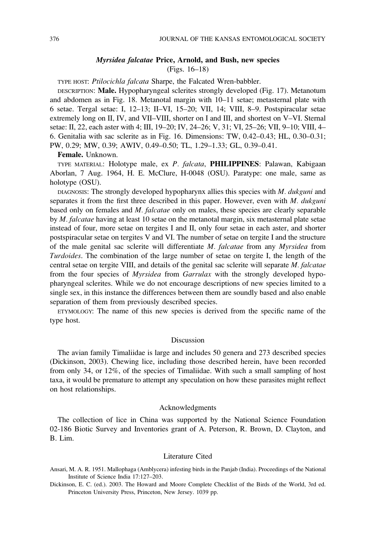### Myrsidea falcatae Price, Arnold, and Bush, new species (Figs. 16–18)

TYPE HOST: Ptilocichla falcata Sharpe, the Falcated Wren-babbler.

DESCRIPTION: Male. Hypopharyngeal sclerites strongly developed (Fig. 17). Metanotum and abdomen as in Fig. 18. Metanotal margin with 10–11 setae; metasternal plate with 6 setae. Tergal setae: I, 12–13; II–VI, 15–20; VII, 14; VIII, 8–9. Postspiracular setae extremely long on II, IV, and VII–VIII, shorter on I and III, and shortest on V–VI. Sternal setae: II, 22, each aster with 4; III, 19–20; IV, 24–26; V, 31; VI, 25–26; VII, 9–10; VIII, 4– 6. Genitalia with sac sclerite as in Fig. 16. Dimensions: TW, 0.42–0.43; HL, 0.30–0.31; PW, 0.29; MW, 0.39; AWIV, 0.49–0.50; TL, 1.29–1.33; GL, 0.39–0.41.

Female. Unknown.

TYPE MATERIAL: Holotype male, ex P. falcata, PHILIPPINES: Palawan, Kabigaan Aborlan, 7 Aug. 1964, H. E. McClure, H-0048 (OSU). Paratype: one male, same as holotype (OSU).

DIAGNOSIS: The strongly developed hypopharynx allies this species with  $M$ . dukguni and separates it from the first three described in this paper. However, even with  $M$ . dukguni based only on females and *M. falcatae* only on males, these species are clearly separable by *M. falcatae* having at least 10 setae on the metanotal margin, six metasternal plate setae instead of four, more setae on tergites I and II, only four setae in each aster, and shorter postspiracular setae on tergites V and VI. The number of setae on tergite I and the structure of the male genital sac sclerite will differentiate M. falcatae from any Myrsidea from Turdoides. The combination of the large number of setae on tergite I, the length of the central setae on tergite VIII, and details of the genital sac sclerite will separate M. falcatae from the four species of Myrsidea from Garrulax with the strongly developed hypopharyngeal sclerites. While we do not encourage descriptions of new species limited to a single sex, in this instance the differences between them are soundly based and also enable separation of them from previously described species.

ETYMOLOGY: The name of this new species is derived from the specific name of the type host.

#### Discussion

The avian family Timaliidae is large and includes 50 genera and 273 described species (Dickinson, 2003). Chewing lice, including those described herein, have been recorded from only 34, or 12%, of the species of Timaliidae. With such a small sampling of host taxa, it would be premature to attempt any speculation on how these parasites might reflect on host relationships.

#### Acknowledgments

The collection of lice in China was supported by the National Science Foundation 02-186 Biotic Survey and Inventories grant of A. Peterson, R. Brown, D. Clayton, and B. Lim.

#### Literature Cited

Dickinson, E. C. (ed.). 2003. The Howard and Moore Complete Checklist of the Birds of the World, 3rd ed. Princeton University Press, Princeton, New Jersey. 1039 pp.

Ansari, M. A. R. 1951. Mallophaga (Amblycera) infesting birds in the Panjab (India). Proceedings of the National Institute of Science India 17:127–203.